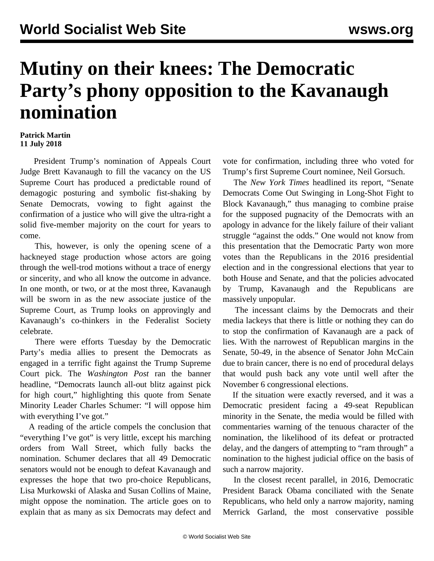## **Mutiny on their knees: The Democratic Party's phony opposition to the Kavanaugh nomination**

## **Patrick Martin 11 July 2018**

 President Trump's nomination of Appeals Court Judge Brett Kavanaugh to fill the vacancy on the US Supreme Court has produced a predictable round of demagogic posturing and symbolic fist-shaking by Senate Democrats, vowing to fight against the confirmation of a justice who will give the ultra-right a solid five-member majority on the court for years to come.

 This, however, is only the opening scene of a hackneyed stage production whose actors are going through the well-trod motions without a trace of energy or sincerity, and who all know the outcome in advance. In one month, or two, or at the most three, Kavanaugh will be sworn in as the new associate justice of the Supreme Court, as Trump looks on approvingly and Kavanaugh's co-thinkers in the Federalist Society celebrate.

 There were efforts Tuesday by the Democratic Party's media allies to present the Democrats as engaged in a terrific fight against the Trump Supreme Court pick. The *Washington Post* ran the banner headline, "Democrats launch all-out blitz against pick for high court," highlighting this quote from Senate Minority Leader Charles Schumer: "I will oppose him with everything I've got."

 A reading of the article compels the conclusion that "everything I've got" is very little, except his marching orders from Wall Street, which fully backs the nomination. Schumer declares that all 49 Democratic senators would not be enough to defeat Kavanaugh and expresses the hope that two pro-choice Republicans, Lisa Murkowski of Alaska and Susan Collins of Maine, might oppose the nomination. The article goes on to explain that as many as six Democrats may defect and vote for confirmation, including three who voted for Trump's first Supreme Court nominee, Neil Gorsuch.

 The *New York Times* headlined its report, "Senate Democrats Come Out Swinging in Long-Shot Fight to Block Kavanaugh," thus managing to combine praise for the supposed pugnacity of the Democrats with an apology in advance for the likely failure of their valiant struggle "against the odds." One would not know from this presentation that the Democratic Party won more votes than the Republicans in the 2016 presidential election and in the congressional elections that year to both House and Senate, and that the policies advocated by Trump, Kavanaugh and the Republicans are massively unpopular.

 The incessant claims by the Democrats and their media lackeys that there is little or nothing they can do to stop the confirmation of Kavanaugh are a pack of lies. With the narrowest of Republican margins in the Senate, 50-49, in the absence of Senator John McCain due to brain cancer, there is no end of procedural delays that would push back any vote until well after the November 6 congressional elections.

 If the situation were exactly reversed, and it was a Democratic president facing a 49-seat Republican minority in the Senate, the media would be filled with commentaries warning of the tenuous character of the nomination, the likelihood of its defeat or protracted delay, and the dangers of attempting to "ram through" a nomination to the highest judicial office on the basis of such a narrow majority.

 In the closest recent parallel, in 2016, Democratic President Barack Obama conciliated with the Senate Republicans, who held only a narrow majority, naming Merrick Garland, the most conservative possible